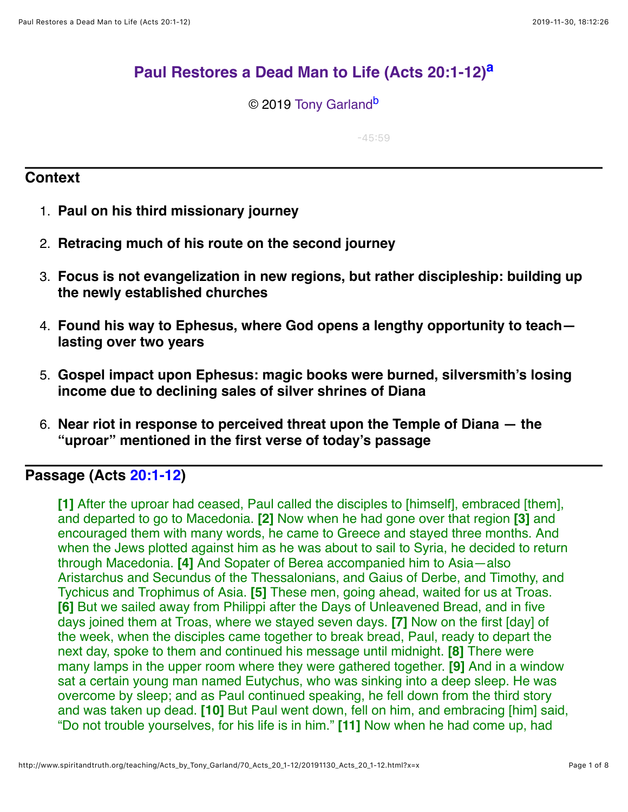# **[Paul Restores a Dead Man to Life \(Acts 20:1-12\)](http://www.spiritandtruth.org/teaching/Acts_by_Tony_Garland/70_Acts_20_1-12/index.htm)[a](#page-7-0)**

© 2019 [Tony Garland](http://www.spiritandtruth.org/id/tg.htm)<sup>[b](#page-7-1)</sup>

<span id="page-0-1"></span><span id="page-0-0"></span> $-45:59$ 

## **Context**

- 1. **Paul on his third missionary journey**
- 2. **Retracing much of his route on the second journey**
- 3. **Focus is not evangelization in new regions, but rather discipleship: building up the newly established churches**
- 4. **Found his way to Ephesus, where God opens a lengthy opportunity to teach lasting over two years**
- 5. **Gospel impact upon Ephesus: magic books were burned, silversmith's losing income due to declining sales of silver shrines of Diana**
- 6. **Near riot in response to perceived threat upon the Temple of Diana the "uproar" mentioned in the first verse of today's passage**

# **Passage (Acts [20:1-12](http://www.spiritandtruth.org/bibles/nasb/b44c020.htm#Acts_C20V1))**

**[1]** After the uproar had ceased, Paul called the disciples to [himself], embraced [them], and departed to go to Macedonia. **[2]** Now when he had gone over that region **[3]** and encouraged them with many words, he came to Greece and stayed three months. And when the Jews plotted against him as he was about to sail to Syria, he decided to return through Macedonia. **[4]** And Sopater of Berea accompanied him to Asia—also Aristarchus and Secundus of the Thessalonians, and Gaius of Derbe, and Timothy, and Tychicus and Trophimus of Asia. **[5]** These men, going ahead, waited for us at Troas. **[6]** But we sailed away from Philippi after the Days of Unleavened Bread, and in five days joined them at Troas, where we stayed seven days. **[7]** Now on the first [day] of the week, when the disciples came together to break bread, Paul, ready to depart the next day, spoke to them and continued his message until midnight. **[8]** There were many lamps in the upper room where they were gathered together. **[9]** And in a window sat a certain young man named Eutychus, who was sinking into a deep sleep. He was overcome by sleep; and as Paul continued speaking, he fell down from the third story and was taken up dead. **[10]** But Paul went down, fell on him, and embracing [him] said, "Do not trouble yourselves, for his life is in him." **[11]** Now when he had come up, had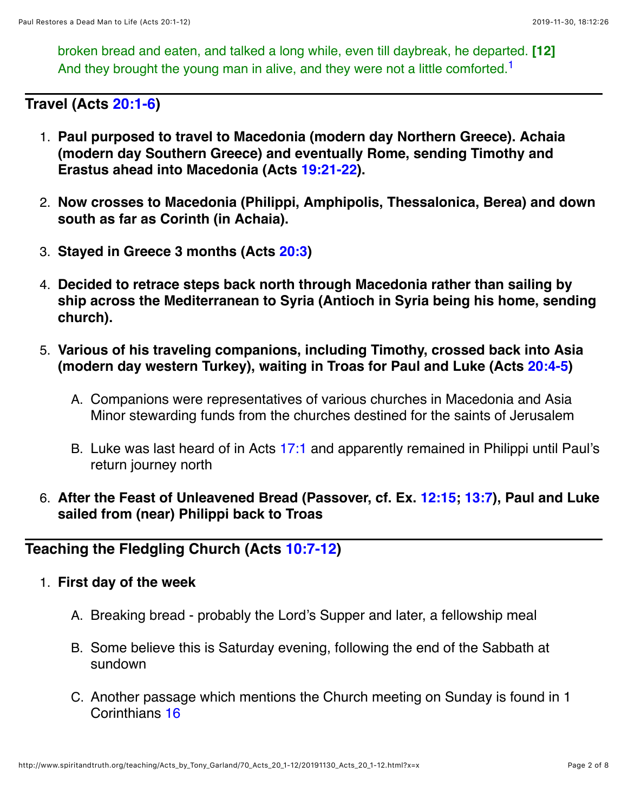<span id="page-1-0"></span>broken bread and eaten, and talked a long while, even till daybreak, he departed. **[12]** And they brought the young man in alive, and they were not a little comforted.<sup>1</sup>

**Travel (Acts [20:1-6\)](http://www.spiritandtruth.org/bibles/nasb/b44c020.htm#Acts_C20V1)**

- 1. **Paul purposed to travel to Macedonia (modern day Northern Greece). Achaia (modern day Southern Greece) and eventually Rome, sending Timothy and Erastus ahead into Macedonia (Acts [19:21-22](http://www.spiritandtruth.org/bibles/nasb/b44c019.htm#Acts_C19V21)).**
- 2. **Now crosses to Macedonia (Philippi, Amphipolis, Thessalonica, Berea) and down south as far as Corinth (in Achaia).**
- 3. **Stayed in Greece 3 months (Acts [20:3\)](http://www.spiritandtruth.org/bibles/nasb/b44c020.htm#Acts_C20V3)**
- 4. **Decided to retrace steps back north through Macedonia rather than sailing by ship across the Mediterranean to Syria (Antioch in Syria being his home, sending church).**
- 5. **Various of his traveling companions, including Timothy, crossed back into Asia (modern day western Turkey), waiting in Troas for Paul and Luke (Acts [20:4-5](http://www.spiritandtruth.org/bibles/nasb/b44c020.htm#Acts_C20V4))**
	- A. Companions were representatives of various churches in Macedonia and Asia Minor stewarding funds from the churches destined for the saints of Jerusalem
	- B. Luke was last heard of in Acts [17:1](http://www.spiritandtruth.org/bibles/nasb/b44c017.htm#Acts_C17V1) and apparently remained in Philippi until Paul's return journey north
- 6. **After the Feast of Unleavened Bread (Passover, cf. Ex. [12:15;](http://www.spiritandtruth.org/bibles/nasb/b02c012.htm#Ex._C12V15) [13:7](http://www.spiritandtruth.org/bibles/nasb/b02c013.htm#Ex._C13V7)), Paul and Luke sailed from (near) Philippi back to Troas**

## **Teaching the Fledgling Church (Acts [10:7-12](http://www.spiritandtruth.org/bibles/nasb/b44c010.htm#Acts_C10V7))**

### 1. **First day of the week**

- A. Breaking bread probably the Lord's Supper and later, a fellowship meal
- B. Some believe this is Saturday evening, following the end of the Sabbath at sundown
- C. Another passage which mentions the Church meeting on Sunday is found in 1 Corinthians [16](http://www.spiritandtruth.org/bibles/nasb/b46c016.htm#1Cor._C16V1)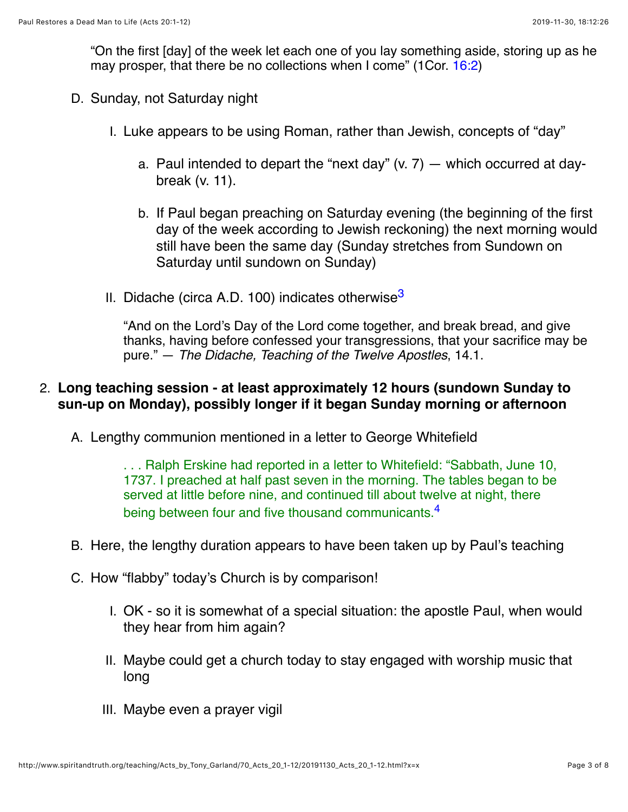"On the first [day] of the week let each one of you lay something aside, storing up as he may prosper, that there be no collections when I come" (1Cor. [16:2](http://www.spiritandtruth.org/bibles/nasb/b46c016.htm#1Cor._C16V2))

- D. Sunday, not Saturday night
	- I. Luke appears to be using Roman, rather than Jewish, concepts of "day"
		- a. Paul intended to depart the "next day"  $(v, 7)$  which occurred at daybreak (v. 11).
		- b. If Paul began preaching on Saturday evening (the beginning of the first day of the week according to Jewish reckoning) the next morning would still have been the same day (Sunday stretches from Sundown on Saturday until sundown on Sunday)
	- II. Didache (circa A.D. 100) indicates otherwise<sup>[3](#page-6-1)</sup>

<span id="page-2-0"></span>"And on the Lord's Day of the Lord come together, and break bread, and give thanks, having before confessed your transgressions, that your sacrifice may be pure." — *The Didache, Teaching of the Twelve Apostles*, 14.1.

## 2. **Long teaching session - at least approximately 12 hours (sundown Sunday to sun-up on Monday), possibly longer if it began Sunday morning or afternoon**

A. Lengthy communion mentioned in a letter to George Whitefield

<span id="page-2-1"></span>. . . Ralph Erskine had reported in a letter to Whitefield: "Sabbath, June 10, 1737. I preached at half past seven in the morning. The tables began to be served at little before nine, and continued till about twelve at night, there being between four and five thousand communicants.<sup>[4](#page-6-2)</sup>

- B. Here, the lengthy duration appears to have been taken up by Paul's teaching
- C. How "flabby" today's Church is by comparison!
	- I. OK so it is somewhat of a special situation: the apostle Paul, when would they hear from him again?
	- II. Maybe could get a church today to stay engaged with worship music that long
	- III. Maybe even a prayer vigil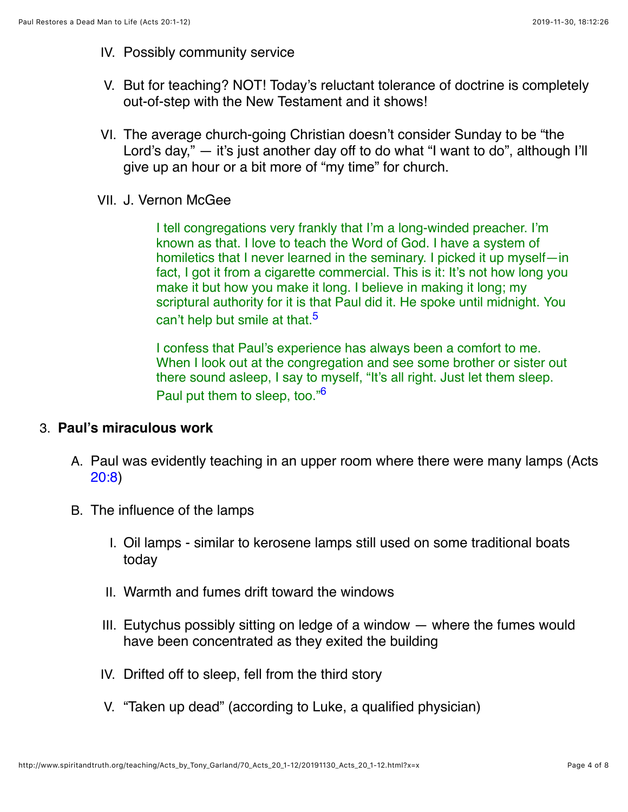- IV. Possibly community service
- V. But for teaching? NOT! Today's reluctant tolerance of doctrine is completely out-of-step with the New Testament and it shows!
- VI. The average church-going Christian doesn't consider Sunday to be "the Lord's day," — it's just another day off to do what "I want to do", although I'll give up an hour or a bit more of "my time" for church.
- VII. J. Vernon McGee

I tell congregations very frankly that I'm a long-winded preacher. I'm known as that. I love to teach the Word of God. I have a system of homiletics that I never learned in the seminary. I picked it up myself—in fact, I got it from a cigarette commercial. This is it: It's not how long you make it but how you make it long. I believe in making it long; my scriptural authority for it is that Paul did it. He spoke until midnight. You can't help but smile at that.<sup>[5](#page-6-3)</sup>

<span id="page-3-1"></span><span id="page-3-0"></span>I confess that Paul's experience has always been a comfort to me. When I look out at the congregation and see some brother or sister out there sound asleep, I say to myself, "It's all right. Just let them sleep. Paul put them to sleep, too.["6](#page-6-4)

### 3. **Paul's miraculous work**

- A. Paul was evidently teaching in an upper room where there were many lamps (Acts [20:8\)](http://www.spiritandtruth.org/bibles/nasb/b44c020.htm#Acts_C20V8)
- B. The influence of the lamps
	- I. Oil lamps similar to kerosene lamps still used on some traditional boats today
	- II. Warmth and fumes drift toward the windows
	- III. Eutychus possibly sitting on ledge of a window where the fumes would have been concentrated as they exited the building
	- IV. Drifted off to sleep, fell from the third story
	- V. "Taken up dead" (according to Luke, a qualified physician)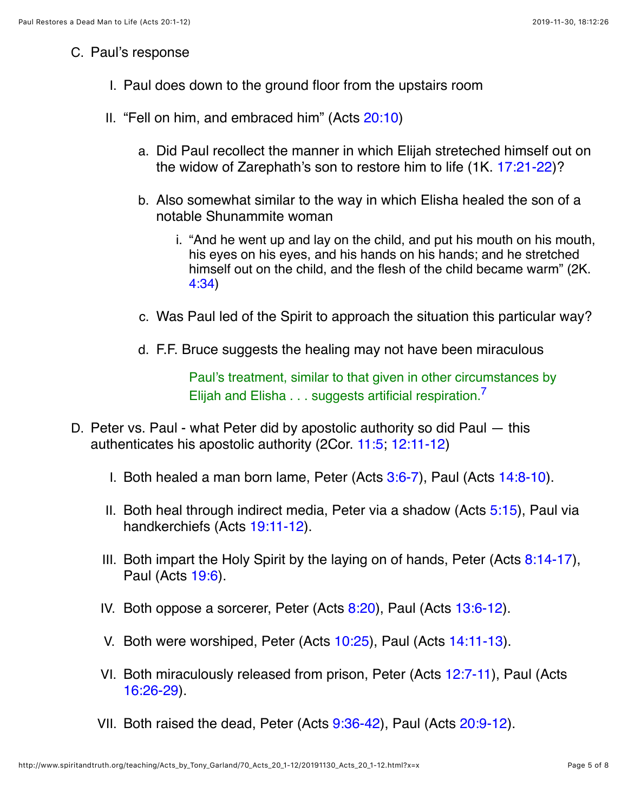### C. Paul's response

- I. Paul does down to the ground floor from the upstairs room
- II. "Fell on him, and embraced him" (Acts [20:10\)](http://www.spiritandtruth.org/bibles/nasb/b44c020.htm#Acts_C20V10)
	- a. Did Paul recollect the manner in which Elijah streteched himself out on the widow of Zarephath's son to restore him to life (1K. [17:21-22](http://www.spiritandtruth.org/bibles/nasb/b11c017.htm#1K._C17V21))?
	- b. Also somewhat similar to the way in which Elisha healed the son of a notable Shunammite woman
		- i. "And he went up and lay on the child, and put his mouth on his mouth, his eyes on his eyes, and his hands on his hands; and he stretched himself out on the child, and the flesh of the child became warm" (2K. [4:34](http://www.spiritandtruth.org/bibles/nasb/b12c004.htm#2K._C4V34))
	- c. Was Paul led of the Spirit to approach the situation this particular way?
	- d. F.F. Bruce suggests the healing may not have been miraculous

<span id="page-4-0"></span>Paul's treatment, similar to that given in other circumstances by Elijah and Elisha . . . suggests artificial respiration.<sup>[7](#page-6-5)</sup>

- D. Peter vs. Paul what Peter did by apostolic authority so did Paul this authenticates his apostolic authority (2Cor. [11:5;](http://www.spiritandtruth.org/bibles/nasb/b47c011.htm#2Cor._C11V5) [12:11-12](http://www.spiritandtruth.org/bibles/nasb/b47c012.htm#2Cor._C12V11))
	- I. Both healed a man born lame, Peter (Acts  $3:6-7$ ), Paul (Acts  $14:8-10$ ).
	- II. Both heal through indirect media, Peter via a shadow (Acts [5:15](http://www.spiritandtruth.org/bibles/nasb/b44c005.htm#Acts_C5V15)), Paul via handkerchiefs (Acts [19:11-12](http://www.spiritandtruth.org/bibles/nasb/b44c019.htm#Acts_C19V11)).
	- III. Both impart the Holy Spirit by the laying on of hands, Peter (Acts  $8:14-17$ ), Paul (Acts [19:6\)](http://www.spiritandtruth.org/bibles/nasb/b44c019.htm#Acts_C19V6).
	- IV. Both oppose a sorcerer, Peter (Acts [8:20](http://www.spiritandtruth.org/bibles/nasb/b44c008.htm#Acts_C8V20)), Paul (Acts [13:6-12](http://www.spiritandtruth.org/bibles/nasb/b44c013.htm#Acts_C13V6)).
	- V. Both were worshiped, Peter (Acts [10:25](http://www.spiritandtruth.org/bibles/nasb/b44c010.htm#Acts_C10V25)), Paul (Acts [14:11-13\)](http://www.spiritandtruth.org/bibles/nasb/b44c014.htm#Acts_C14V11).
	- VI. Both miraculously released from prison, Peter (Acts [12:7-11](http://www.spiritandtruth.org/bibles/nasb/b44c012.htm#Acts_C12V7)), Paul (Acts [16:26-29](http://www.spiritandtruth.org/bibles/nasb/b44c016.htm#Acts_C16V26)).
	- VII. Both raised the dead, Peter (Acts [9:36-42\)](http://www.spiritandtruth.org/bibles/nasb/b44c009.htm#Acts_C9V36), Paul (Acts [20:9-12\)](http://www.spiritandtruth.org/bibles/nasb/b44c020.htm#Acts_C20V9).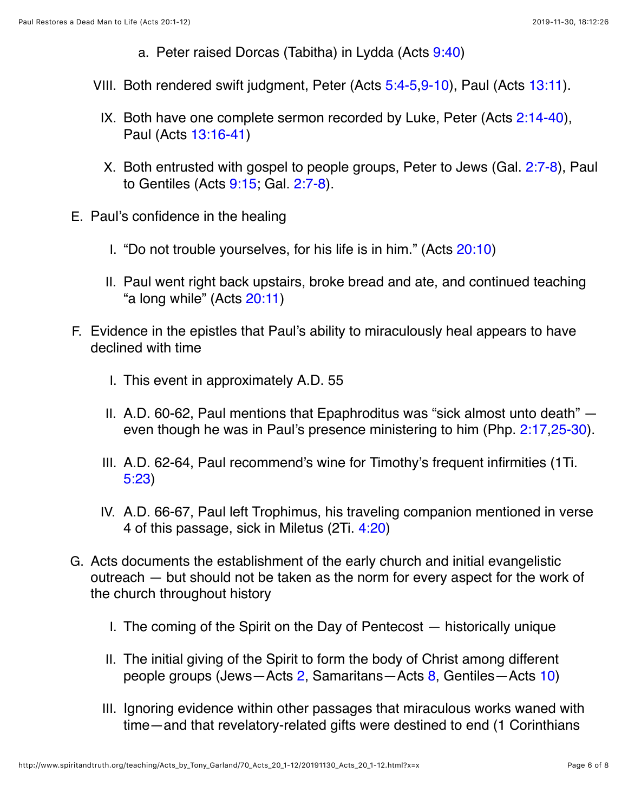- a. Peter raised Dorcas (Tabitha) in Lydda (Acts [9:40\)](http://www.spiritandtruth.org/bibles/nasb/b44c009.htm#Acts_C9V40)
- VIII. Both rendered swift judgment, Peter (Acts [5:4-5,](http://www.spiritandtruth.org/bibles/nasb/b44c005.htm#Acts_C5V4)[9-10\)](http://www.spiritandtruth.org/bibles/nasb/b44c005.htm#Acts_C5V9), Paul (Acts [13:11\)](http://www.spiritandtruth.org/bibles/nasb/b44c013.htm#Acts_C13V11).
	- IX. Both have one complete sermon recorded by Luke, Peter (Acts  $2:14-40$ ), Paul (Acts [13:16-41\)](http://www.spiritandtruth.org/bibles/nasb/b44c013.htm#Acts_C13V16)
	- X. Both entrusted with gospel to people groups, Peter to Jews (Gal. [2:7-8\)](http://www.spiritandtruth.org/bibles/nasb/b48c002.htm#Gal._C2V7), Paul to Gentiles (Acts [9:15](http://www.spiritandtruth.org/bibles/nasb/b44c009.htm#Acts_C9V15); Gal. [2:7-8\)](http://www.spiritandtruth.org/bibles/nasb/b48c002.htm#Gal._C2V7).
- E. Paul's confidence in the healing
	- I. "Do not trouble yourselves, for his life is in him." (Acts [20:10](http://www.spiritandtruth.org/bibles/nasb/b44c020.htm#Acts_C20V10))
	- II. Paul went right back upstairs, broke bread and ate, and continued teaching "a long while" (Acts [20:11\)](http://www.spiritandtruth.org/bibles/nasb/b44c020.htm#Acts_C20V11)
- F. Evidence in the epistles that Paul's ability to miraculously heal appears to have declined with time
	- I. This event in approximately A.D. 55
	- II. A.D. 60-62, Paul mentions that Epaphroditus was "sick almost unto death" even though he was in Paul's presence ministering to him (Php. [2:17](http://www.spiritandtruth.org/bibles/nasb/b50c002.htm#Php._C2V17)[,25-30](http://www.spiritandtruth.org/bibles/nasb/b50c002.htm#Php._C2V25)).
	- III. A.D. 62-64, Paul recommend's wine for Timothy's frequent infirmities (1Ti. [5:23\)](http://www.spiritandtruth.org/bibles/nasb/b54c005.htm#1Ti._C5V23)
	- IV. A.D. 66-67, Paul left Trophimus, his traveling companion mentioned in verse 4 of this passage, sick in Miletus (2Ti. [4:20](http://www.spiritandtruth.org/bibles/nasb/b55c004.htm#2Ti._C4V20))
- G. Acts documents the establishment of the early church and initial evangelistic outreach — but should not be taken as the norm for every aspect for the work of the church throughout history
	- I. The coming of the Spirit on the Day of Pentecost historically unique
	- II. The initial giving of the Spirit to form the body of Christ among different people groups (Jews—Acts [2](http://www.spiritandtruth.org/bibles/nasb/b44c002.htm#Acts_C2V1), Samaritans—Acts [8](http://www.spiritandtruth.org/bibles/nasb/b44c008.htm#Acts_C8V1), Gentiles—Acts [10](http://www.spiritandtruth.org/bibles/nasb/b44c010.htm#Acts_C10V1))
	- III. Ignoring evidence within other passages that miraculous works waned with time—and that revelatory-related gifts were destined to end (1 Corinthians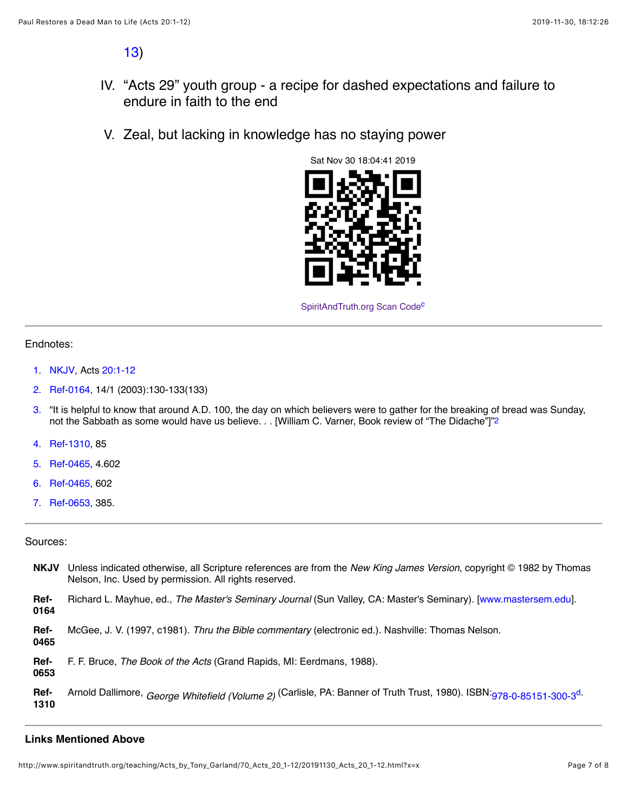[13\)](http://www.spiritandtruth.org/bibles/nasb/b46c013.htm#1Cor._C13V1)

- IV. "Acts 29" youth group a recipe for dashed expectations and failure to endure in faith to the end
- V. Zeal, but lacking in knowledge has no staying power



<span id="page-6-14"></span><span id="page-6-13"></span><span id="page-6-7"></span>SpiritAndTruth.org Scan Code<sup>c</sup>

#### Endnotes:

- <span id="page-6-0"></span>[1.](#page-1-0) [NKJV,](#page-6-6) Acts [20:1-12](http://www.spiritandtruth.org/bibles/nasb/b44c020.htm#Acts_C20V1)
- <span id="page-6-9"></span>[2.](#page-6-7) [Ref-0164,](#page-6-8) 14/1 (2003):130-133(133)
- <span id="page-6-1"></span>[3.](#page-2-0) "It is helpful to know that around A.D. 100, the day on which believers were to gather for the breaking of bread was Sunday, not the Sabbath as some would have us believe. . . [William C. Varner, Book review of "The Didache"]["2](#page-6-9)
- <span id="page-6-2"></span>[4.](#page-2-1) [Ref-1310,](#page-6-10) 85
- <span id="page-6-3"></span>[5.](#page-3-0) [Ref-0465,](#page-6-11) 4.602
- <span id="page-6-4"></span>[6.](#page-3-1) [Ref-0465,](#page-6-11) 602
- <span id="page-6-5"></span>[7.](#page-4-0) [Ref-0653,](#page-6-12) 385.

#### Sources:

- <span id="page-6-6"></span>**NKJV** Unless indicated otherwise, all Scripture references are from the *New King James Version*, copyright © 1982 by Thomas Nelson, Inc. Used by permission. All rights reserved.
- <span id="page-6-8"></span>**Ref-0164** Richard L. Mayhue, ed., *The Master's Seminary Journal* (Sun Valley, CA: Master's Seminary). [[www.mastersem.edu](http://www.mastersem.edu/)].
- <span id="page-6-11"></span>**Ref-**McGee, J. V. (1997, c1981). *Thru the Bible commentary* (electronic ed.). Nashville: Thomas Nelson.
- **0465**
- <span id="page-6-12"></span>**Ref-**F. F. Bruce, *The Book of the Acts* (Grand Rapids, MI: Eerdmans, 1988).

**0653**

<span id="page-6-10"></span>**Ref-1310** Arnold Dallimore, *George Whitefield (Volume 2)* (Carlisle, PA: Banner of Truth Trust, 1980). ISBN:[978-0-85151-300-3](http://www.spiritandtruth.org/id/isbn.htm?978-0-85151-300-3)[d](#page-7-3).

#### **Links Mentioned Above**